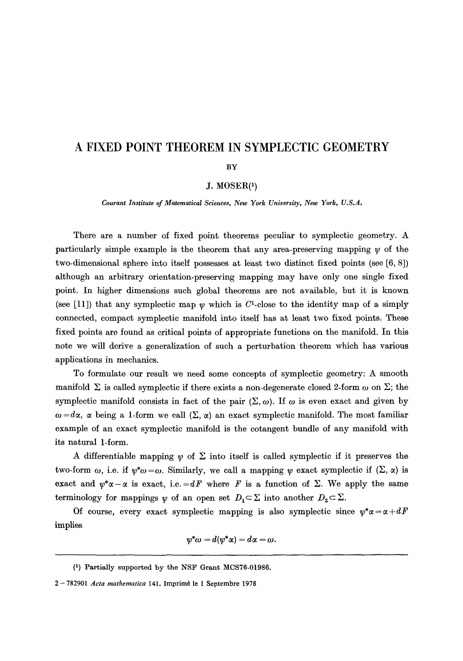# **A FIXED POINT THEOREM IN SYMPLECTIC GEOMETRY**

#### BY

# J. MOSER(1)

*Courant Institute of Matematieal Sciences, New York University, New York, U.S.A.* 

There are a number of fixed point theorems pecuhar to symplectic geometry. A particularly simple example is the theorem that any area-preserving mapping  $\psi$  of the two-dimensional sphere into itself possesses at least two distinct fixed points (see [6, 8]) although an arbitrary orientation-preserving mapping may have only one single fixed point. In higher dimensions such global theorems are not available, but it is known (see [11]) that any symplectic map  $\psi$  which is C<sup>1</sup>-close to the identity map of a simply connected, compact symplectic manifold into itself has at least two fixed points. These fixed points are found as critical points of appropriate functions on the manifold. In this note we will derive a generalization of such a perturbation theorem which has various applications in mechanics.

To formulate our result we need some concepts of symplectic geometry: A smooth manifold  $\Sigma$  is called symplectic if there exists a non-degenerate closed 2-form  $\omega$  on  $\Sigma$ ; the symplectic manifold consists in fact of the pair  $(\Sigma, \omega)$ . If  $\omega$  is even exact and given by  $\omega = d\alpha$ ,  $\alpha$  being a 1-form we call  $(\Sigma, \alpha)$  an exact symplectic manifold. The most familiar example of an exact symplectic manifold is the cotangent bundle of any manifold with its natural 1-form.

A differentiable mapping  $\psi$  of  $\Sigma$  into itself is called symplectic if it preserves the two-form  $\omega$ , i.e. if  $\psi^*\omega = \omega$ . Similarly, we call a mapping  $\psi$  exact symplectic if  $(\Sigma, \alpha)$  is exact and  $\psi^*\alpha-\alpha$  is exact, i.e.  $=dF$  where F is a function of  $\Sigma$ . We apply the same terminology for mappings  $\psi$  of an open set  $D_1 \subset \Sigma$  into another  $D_2 \subset \Sigma$ .

Of course, every exact symplectic mapping is also symplectic since  $\psi^* \alpha = \alpha + dF$ implies

$$
\psi^*\omega=d(\psi^*\alpha)=d\alpha=\omega.
$$

<sup>(1)</sup> Partially supported by the NSF Grant MCS76-01986.

<sup>2 - 782901</sup> *Acta mathematica* 141. Imprim6 le 1 Septembre 1978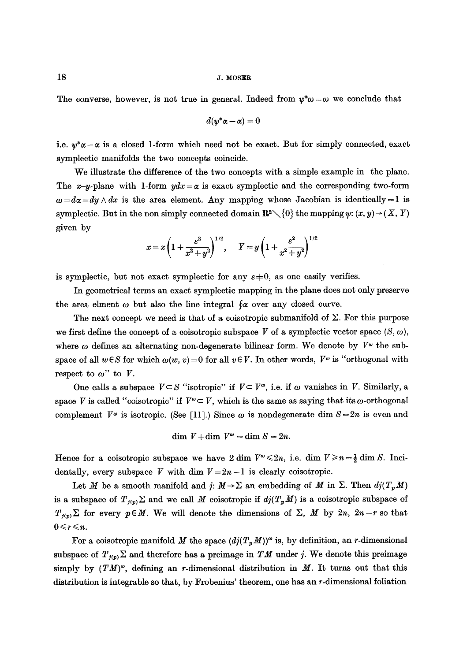The converse, however, is not true in general. Indeed from  $\psi^* \omega = \omega$  we conclude that

$$
d(\psi^*\alpha-\alpha)=0
$$

i.e.  $\psi^*\alpha-\alpha$  is a closed 1-form which need not be exact. But for simply connected, exact symplectic manifolds the two concepts coincide.

We illustrate the difference of the two concepts with a simple example in the plane. The x-y-plane with 1-form  $ydx = \alpha$  is exact symplectic and the corresponding two-form  $\omega = d\alpha = dy \wedge dx$  is the area element. Any mapping whose Jacobian is identically = 1 is symplectic. But in the non simply connected domain  $\mathbb{R}^2\setminus\{0\}$  the mapping  $\psi: (x, y)\to (X, Y)$ given by

$$
x = x \left(1 + \frac{\varepsilon^2}{x^2 + y^2}\right)^{1/2}, \quad Y = y \left(1 + \frac{\varepsilon^2}{x^2 + y^2}\right)^{1/2}
$$

is symplectic, but not exact symplectic for any  $\varepsilon=0$ , as one easily verifies.

In geometrical terms an exact symplectie mapping in the plane does not only preserve the area elment  $\omega$  but also the line integral  $\oint \alpha$  over any closed curve.

The next concept we need is that of a coisotropic submanifold of  $\Sigma$ . For this purpose we first define the concept of a coisotropic subspace V of a symplectic vector space  $(S, \omega)$ , where  $\omega$  defines an alternating non-degenerate bilinear form. We denote by  $V^{\omega}$  the subspace of all  $w \in S$  for which  $\omega(w, v) = 0$  for all  $v \in V$ . In other words,  $V^{\omega}$  is "orthogonal with respect to  $\omega$ " to V.

One calls a subspace  $V \subset S$  "isotropic" if  $V \subset V^{\omega}$ , i.e. if  $\omega$  vanishes in V. Similarly, a space V is called "coisotropic" if  $V^{\omega} \subset V$ , which is the same as saying that its  $\omega$ -orthogonal complement  $V^{\omega}$  is isotropic. (See [11].) Since  $\omega$  is nondegenerate dim  $S = 2n$  is even and

$$
\dim V + \dim V^{\omega} = \dim S = 2n.
$$

Hence for a coisotropic subspace we have 2 dim  $V^{\infty} \leq 2n$ , i.e. dim  $V \geq n - \frac{1}{2}$  dim S. Incidentally, every subspace V with dim  $V = 2n - 1$  is clearly coisotropic.

Let M be a smooth manifold and  $j: M \to \Sigma$  an embedding of M in  $\Sigma$ . Then  $dj(T_pM)$ is a subspace of  $T_{f(p)}\Sigma$  and we call M coisotropic if  $dj(T_pM)$  is a coisotropic subspace of  $T_{j(p)}\Sigma$  for every  $p\in M$ . We will denote the dimensions of  $\Sigma$ , M by  $2n$ ,  $2n-r$  so that  $0 \leq r \leq n$ .

For a coisotropic manifold M the space  $(d/(T_pM))^{\omega}$  is, by definition, an r-dimensional subspace of  $T_{j(p)}\Sigma$  and therefore has a preimage in TM under j. We denote this preimage simply by  $(TM)^{\omega}$ , defining an r-dimensional distribution in M. It turns out that this distribution is integrable so that, by Frobenius' theorem, one has an r-dimensional foliation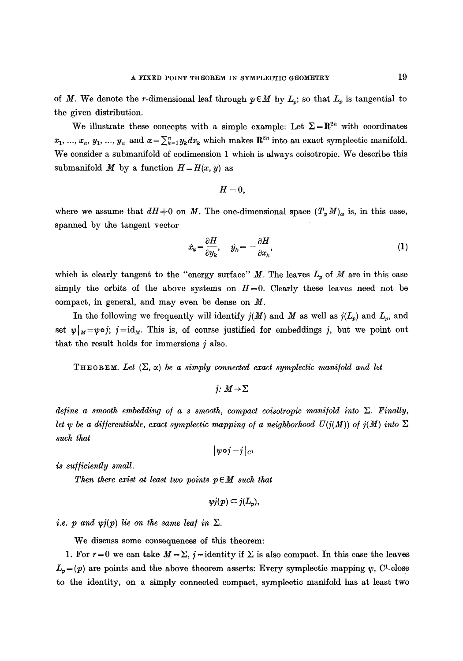of M. We denote the r-dimensional leaf through  $p \in M$  by  $L_p$ ; so that  $L_p$  is tangential to the given distribution.

We illustrate these concepts with a simple example: Let  $\Sigma = \mathbb{R}^{2n}$  with coordinates  $x_1, ..., x_n, y_1, ..., y_n$  and  $\alpha = \sum_{k=1}^n y_k dx_k$  which makes  $\mathbb{R}^{2n}$  into an exact symplectic manifold. We consider a submanifold of codimension 1 which is always coisotropic. We describe this submanifold M by a function  $H = H(x, y)$  as

$$
H=0,
$$

where we assume that  $dH \neq 0$  on M. The one-dimensional space  $(T_p M)_{\omega}$  is, in this case, spanned by the tangent vector

$$
\dot{x}_k = \frac{\partial H}{\partial y_k}, \quad \dot{y}_k = -\frac{\partial H}{\partial x_k}, \tag{1}
$$

which is clearly tangent to the "energy surface" M. The leaves  $L_p$  of M are in this case simply the orbits of the above systems on  $H=0$ . Clearly these leaves need not be compact, in general, and may even be dense on M.

In the following we frequently will identify  $j(M)$  and M as well as  $j(L_p)$  and  $L_p$ , and set  $\psi|_{M}=\psi\circ j$ ;  $j=\mathrm{id}_{M}$ . This is, of course justified for embeddings j, but we point out that the result holds for immersions  $j$  also.

THEOREM. Let  $(\Sigma, \alpha)$  be a simply connected exact symplectic manifold and let

*j:*  $M \rightarrow \Sigma$ 

*define a smooth embedding of a s smooth, compact coisotropic manifold into*  $\Sigma$ . Finally, *let y be a differentiable, exact symplectic mapping of a neighborhood*  $U(j(M))$  *of*  $j(M)$  *into*  $\Sigma$ *such that* 

 $|y \circ j - j|_{C}$ 

*is sufficiently small.* 

*Then there exist at least two points p E M such that* 

$$
yj(p)\subset j(L_p),
$$

*i.e.* p and  $\psi(j)$  lie on the same leaf in  $\Sigma$ .

We discuss some consequences of this theorem:

1. For  $r=0$  we can take  $M=\Sigma$ , j = identity if  $\Sigma$  is also compact. In this case the leaves  $L_n = (p)$  are points and the above theorem asserts: Every symplectic mapping  $\psi$ , C<sup>l</sup>-close to the identity, on a simply connected compact, symplectic manifold has at least two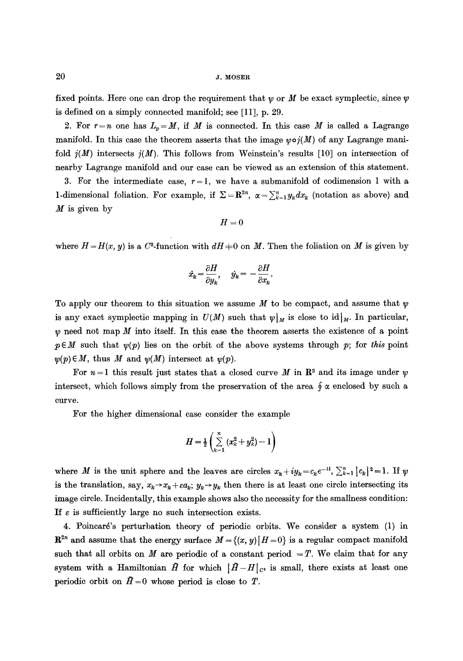fixed points. Here one can drop the requirement that  $\psi$  or M be exact symplectic, since  $\psi$ is defined on a simply connected manifold; see [11], p. 29.

2. For  $r = n$  one has  $L_p = M$ , if M is connected. In this case M is called a Lagrange manifold. In this case the theorem asserts that the image  $\psi \circ i(M)$  of any Lagrange manifold  $j(M)$  intersects  $j(M)$ . This follows from Weinstein's results [10] on intersection of nearby Lagrange manifold and our case can be viewed as an extension of this statement.

3. For the intermediate case,  $r = 1$ , we have a submanifold of codimension 1 with a 1-dimensional foliation. For example, if  $\Sigma = \mathbb{R}^{2n}$ ,  $\alpha = \sum_{k=1}^{n} y_k dx_k$  (notation as above) and  $M$  is given by

$$
H = 0
$$

where  $H=H(x, y)$  is a C<sup>2</sup>-function with  $dH=0$  on M. Then the foliation on M is given by

$$
\dot{x}_k = \frac{\partial H}{\partial y_k}, \quad \dot{y}_k = -\frac{\partial H}{\partial x_k}.
$$

To apply our theorem to this situation we assume M to be compact, and assume that  $\psi$ is any exact symplectic mapping in  $U(M)$  such that  $\psi|_M$  is close to id $|_M$ . In particular,  $\psi$  need not map M into itself. In this case the theorem asserts the existence of a point  $p \in M$  such that  $\psi(p)$  lies on the orbit of the above systems through p; for *this* point  $~\psi(p) \in M$ , thus M and  $\psi(M)$  intersect at  $\psi(p)$ .

For  $n=1$  this result just states that a closed curve M in  $\mathbb{R}^2$  and its image under  $\psi$ intersect, which follows simply from the preservation of the area  $\oint \alpha$  enclosed by such a curve.

For the higher dimensional case consider the example

$$
H=\tfrac{1}{2}\left(\sum_{k=1}^n\left(x_k^2+y_k^2\right)-1\right)
$$

where M is the unit sphere and the leaves are circles  $x_k+iy_k=c_ke^{-it}$ ,  $\sum_{k=1}^n |c_k|^2=1$ . If  $\psi$ is the translation, say,  $x_k \rightarrow x_k + \varepsilon a_k$ ;  $y_k \rightarrow y_k$  then there is at least one circle intersecting its image circle. Incidentally, this example shows also the necessity for the smallness condition: If  $\varepsilon$  is sufficiently large no such intersection exists.

4. Poincar6's perturbation theory of periodic orbits. We consider a system (1) in  $\mathbb{R}^{2n}$  and assume that the energy surface  $M = \{(x, y) | H = 0\}$  is a regular compact manifold such that all orbits on M are periodic of a constant period  $=T$ . We claim that for any system with a Hamiltonian  $\tilde{H}$  for which  $|\tilde{H}-H|_{C^2}$  is small, there exists at least one periodic orbit on  $\tilde{H}=0$  whose period is close to T.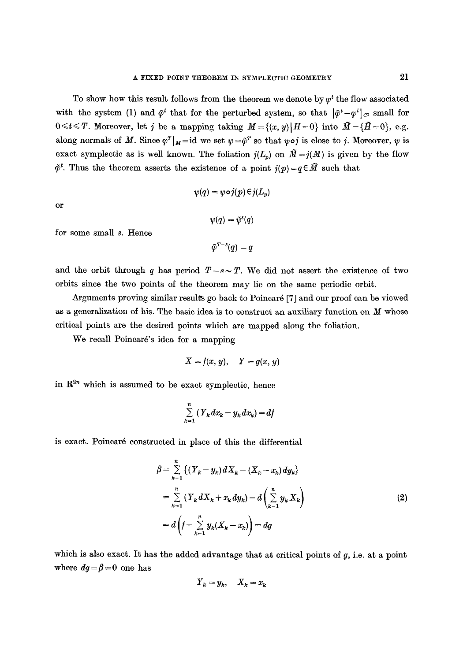To show how this result follows from the theorem we denote by  $\varphi^t$  the flow associated with the system (1) and  $\tilde{\varphi}^t$  that for the perturbed system, so that  $|\tilde{\varphi}^t-\varphi^t|_{C^1}$  small for  $0 \le t \le T$ . Moreover, let j be a mapping taking  $M = \{(x, y) | H = 0\}$  into  $\tilde{M} = \{\tilde{H} = 0\}$ , e.g. along normals of M. Since  $\varphi^{T}|_{M}=\mathrm{id}$  we set  $\psi=\tilde{\varphi}^{T}$  so that  $\psi \circ j$  is close to j. Moreover,  $\psi$  is exact symplectic as is well known. The foliation  $j(L_p)$  on  $\widetilde{M}=j(M)$  is given by the flow  $\tilde{\varphi}^t$ . Thus the theorem asserts the existence of a point  $j(p)=q\in \tilde{M}$  such that

$$
\psi(q) = \psi \circ j(p) \in j(L_p)
$$

or

 $\Psi(q) = \tilde{\psi}^s(q)$ 

for some small s. Hence

 $\tilde{\varphi}^{T-s}(q) = q$ 

and the orbit through q has period  $T-s \sim T$ . We did not assert the existence of two orbits since the two points of the theorem may lie on the same periodic orbit.

Arguments proving similar results go back to Poincard [7] and our proof can be viewed as a generalization of his. The basic idea is to construct an auxiliary function on  $M$  whose critical points are the desired points which are mapped along the foliation.

We recall Poincaré's idea for a mapping

$$
X = f(x, y), \quad Y = g(x, y)
$$

in  $\mathbb{R}^{2n}$  which is assumed to be exact symplectic, hence

$$
\sum_{k=1}^{n} \left(Y_k dx_k - y_k dx_k\right) = df
$$

is exact. Poincar6 constructed in place of this the differential

$$
\beta = \sum_{k=1}^{n} \left\{ (Y_k - y_k) dX_k - (X_k - x_k) dy_k \right\}
$$
  
= 
$$
\sum_{k=1}^{n} (Y_k dX_k + x_k dy_k) - d \left( \sum_{k=1}^{n} y_k X_k \right)
$$
  
= 
$$
d \left( f - \sum_{k=1}^{n} y_k (X_k - x_k) \right) = dg
$$
 (2)

which is also exact. It has the added advantage that at critical points of  $g$ , i.e. at a point where  $dg = \beta = 0$  one has

$$
Y_k = y_k, \quad X_k = x_k
$$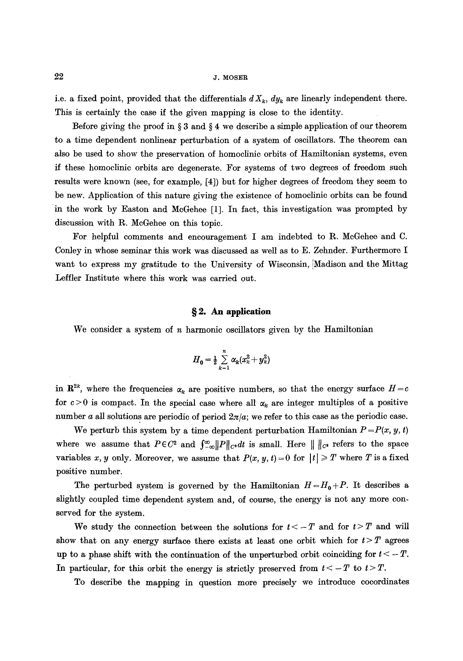i.e. a fixed point, provided that the differentials  $dX_k$ ,  $dy_k$  are linearly independent there. This is certainly the case if the given mapping is close to the identity.

Before giving the proof in  $\S 3$  and  $\S 4$  we describe a simple application of our theorem to a time dependent nonlinear perturbation of a system of oscillators. The theorem can also be used to show the preservation of homoclinic orbits of Hamiltonian systems, even if these homoclinic orbits are degenerate. For systems of two degrees of freedom such results were known (see, for example, [4]) but for higher degrees of freedom they seem to be new. Application of this nature giving the existence of homoclinic orbits can be found in the work by Easton and McGehee [1]. In fact, this investigation was prompted by discussion with R. McGehee on this topic.

For helpful comments and encouragement I am indebted to R. McGeheo and C. Coniey in whose seminar this work was discussed as well as to E. Zehnder. Furthermore I want to express my gratitude to the University of Wisconsin, Madison and the Mittag Leffler Institute where this work was carried out.

# **w 2. An application**

We consider a system of  $n$  harmonic oscillators given by the Hamiltonian

$$
H_0 = \frac{1}{2} \sum_{k=1}^n \alpha_k (x_k^2 + y_k^2)
$$

in  $\mathbb{R}^{2k}$ , where the frequencies  $\alpha_k$  are positive numbers, so that the energy surface  $H = c$ for  $c > 0$  is compact. In the special case where all  $\alpha_k$  are integer multiples of a positive number a all solutions are periodic of period  $2\pi/a$ ; we refer to this case as the periodic case.

We perturb this system by a time dependent perturbation Hamiltonian  $P = P(x, y, t)$ where we assume that  $P \in C^2$  and  $\int_{-\infty}^{\infty} ||P||_{C^2} dt$  is small. Here  $||||_{C^2}$  refers to the space variables x, y only. Moreover, we assume that  $P(x, y, t) = 0$  for  $|t| \geq T$  where T is a fixed positive number.

The perturbed system is governed by the Hamiltonian  $H=H_0+P$ . It describes a slightly coupled time dependent system and, of course, the energy is not any more conserved for the system.

We study the connection between the solutions for  $t < -T$  and for  $t > T$  and will show that on any energy surface there exists at least one orbit which for  $t > T$  agrees up to a phase shift with the continuation of the unperturbed orbit coinciding for  $t < -T$ . In particular, for this orbit the energy is strictly preserved from  $t < -T$  to  $t > T$ .

To describe the mapping in question more precisely we introduce eocordinates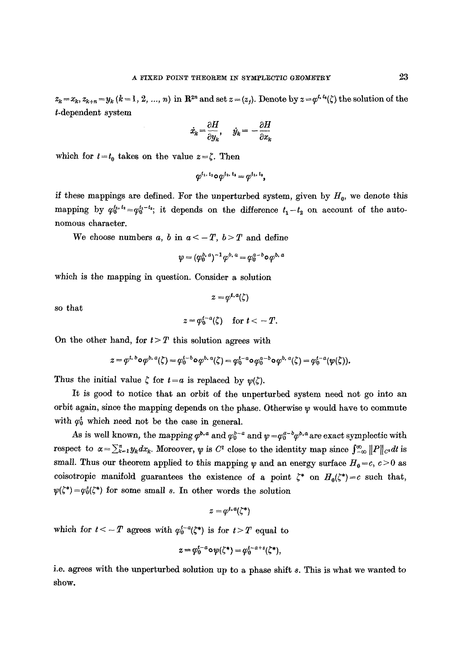$z_k = x_k$ ,  $z_{k+n} = y_k$  ( $k = 1, 2, ..., n$ ) in  $\mathbb{R}^{2n}$  and set  $z = (z_i)$ . Denote by  $z = \varphi^{t, t_n}(\zeta)$  the solution of the t-dependent system

$$
\dot{x}_k = \frac{\partial H}{\partial y_k}, \quad \dot{y}_k = -\frac{\partial H}{\partial x_k}
$$

which for  $t = t_0$  takes on the value  $z = \zeta$ . Then

$$
\varphi^{t_1,\,t_2} \mathtt{o}\varphi^{t_2,\,t_3} = \varphi^{t_1,\,t_3},
$$

if these mappings are defined. For the unperturbed system, given by  $H_0$ , we denote this mapping by  $\varphi_0^{t_1, t_2} = \varphi_0^{t_1-t_2}$ ; it depends on the difference  $t_1-t_2$  on account of the autonomous character.

We choose numbers a, b in  $a < -T$ ,  $b > T$  and define

$$
\psi = (\varphi_0^{b,\,a})^{-1} \varphi^{b,\,a} = \varphi_0^{a-b} \circ \varphi^{b,\,a}
$$

which is the mapping in question. Consider a solution

so that

$$
z=\varphi_0^{t-a}(\zeta)\quad\text{for }t<-T.
$$

 $z = \omega^{t, a}(\zeta)$ 

On the other hand, for  $t > T$  this solution agrees with

$$
z = \varphi^{t, b} \circ \varphi^{b, a}(\zeta) = \varphi_0^{t - b} \circ \varphi^{b, a}(\zeta) = \varphi_0^{t - a} \circ \varphi_0^{a - b} \circ \varphi^{b, a}(\zeta) = \varphi_0^{t - a}(\psi(\zeta)).
$$

Thus the initial value  $\zeta$  for  $t = a$  is replaced by  $\psi(\zeta)$ .

It is good to notice that an orbit of the unperturbed system need not go into an orbit again, since the mapping depends on the phase. Otherwise  $\psi$  would have to commute with  $\varphi_0^t$  which need not be the case in general.

As is well known, the mapping  $\varphi^{b,a}$  and  $\varphi^{b-a}_{0}$  and  $\psi = \varphi^{a-b}_{0} \varphi^{b,a}$  are exact symplectic with **respect to**  $\alpha = \sum_{k=1}^{n} y_k dx_k$ **. Moreover,**  $\psi$  **is**  $C^1$  **close to the identity map since**  $\int_{-\infty}^{\infty} ||P||_{C^1} dt$  **is** small. Thus our theorem applied to this mapping  $\psi$  and an energy surface  $H_0 = c, c > 0$  as coisotropic manifold guarantees the existence of a point  $\zeta^*$  on  $H_0(\zeta^*)=c$  such that,  $\psi(\zeta^*) = \varphi_0^*(\zeta^*)$  for some small s. In other words the solution

$$
z=\varphi^{t,a}(\zeta^*)
$$

which for  $t < -T$  agrees with  $\varphi_0^{t-a}(\zeta^*)$  is for  $t > T$  equal to

$$
z = \varphi_0^{t-a} \circ \psi(\zeta^*) = \varphi_0^{t-a+s}(\zeta^*),
$$

i.e. agrees with the unperturbed solution up to a phase shift e. This is what we wanted to show.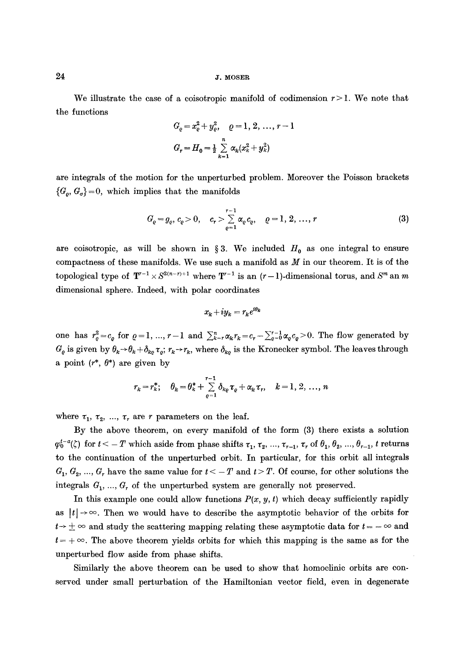$24$  J. MOSER

We illustrate the case of a coisotropic manifold of codimension  $r > 1$ . We note that the functions

$$
G_e = x_e^2 + y_e^2, \quad e = 1, 2, ..., r - 1
$$
  

$$
G_r = H_0 = \frac{1}{2} \sum_{k=1}^n \alpha_k (x_k^2 + y_k^2)
$$

are integrals of the motion for the unperturbed problem. Moreover the Poisson brackets  ${G<sub>o</sub>, G<sub>o</sub>} = 0$ , which implies that the manifolds

$$
G_{\varrho} = g_{\varrho}, \, c_{\varrho} > 0, \quad c_r > \sum_{\varrho=1}^{r-1} \alpha_{\varrho} c_{\varrho}, \quad \varrho = 1, \, 2, \, \dots, \, r \tag{3}
$$

are coisotropic, as will be shown in § 3. We included  $H_0$  as one integral to ensure compactness of these manifolds. We use such a manifold as  $M$  in our theorem. It is of the topological type of  $T^{r-1} \times S^{2(n-r)+1}$  where  $T^{r-1}$  is an  $(r-1)$ -dimensional torus, and  $S^m$  an m dimensional sphere. Indeed, with polar coordinates

$$
x_k + iy_k = r_k e^{i\theta_k}
$$

one has  $r_e^2 = c_e$  for  $\varrho = 1, ..., r-1$  and  $\sum_{k=r}^{n} \alpha_k r_k = c_r - \sum_{\varrho=0}^{r-1} \alpha_e c_e > 0$ . The flow generated by  $G_{\varrho}$  is given by  $\theta_k \rightarrow \theta_k + \delta_{k\varrho} \tau_{\varrho}$ ;  $r_k \rightarrow r_k$ , where  $\delta_{k\varrho}$  is the Kronecker symbol. The leaves through a point  $(r^*, \theta^*)$  are given by

$$
r_{k} = r_{k}^{*}; \quad \theta_{k} = \theta_{k}^{*} + \sum_{\varrho=1}^{r-1} \delta_{k\varrho} \tau_{\varrho} + \alpha_{k} \tau_{r}, \quad k = 1, 2, ..., n
$$

where  $\tau_1$ ,  $\tau_2$ , ...,  $\tau_r$  are r parameters on the leaf.

By the above theorem, on every manifold of the form (3) there exists a solution  $\varphi_0^{t-a}(\zeta)$  for  $t < -T$  which aside from phase shifts  $\tau_1, \tau_2, ..., \tau_{r-1}, \tau_r$  of  $\theta_1, \theta_2, ..., \theta_{r-1}$ , t returns to the continuation of the unperturbed orbit. In particular, for this orbit all integrals  $G_1, G_2, ..., G_r$  have the same value for  $t < -T$  and  $t > T$ . Of course, for other solutions the integrals  $G_1, ..., G_r$  of the unperturbed system are generally not preserved.

In this example one could allow functions  $P(x, y, t)$  which decay sufficiently rapidly as  $|t| \rightarrow \infty$ . Then we would have to describe the asymptotic behavior of the orbits for  $t \rightarrow \pm \infty$  and study the scattering mapping relating these asymptotic data for  $t = -\infty$  and  $t = +\infty$ . The above theorem yields orbits for which this mapping is the same as for the unperturbed flow aside from phase shifts.

Similarly the above theorem can be used to show that homoclinic orbits are conserved under small perturbation of the Hamiltonian vector field, even in degenerate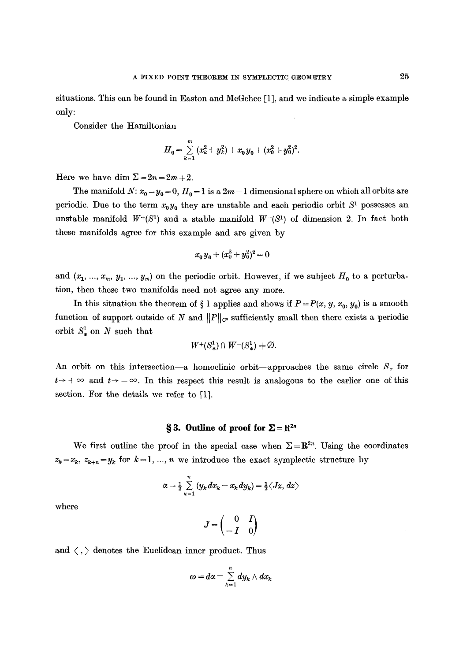situations. This can be found in Easton and McGehee [1], and we indicate a simple example only:

Consider the Hamiltonian

$$
H_0 = \sum_{k=1}^m (x_k^2 + y_k^2) + x_0 y_0 + (x_0^2 + y_0^2)^2.
$$

Here we have dim  $\Sigma = 2n = 2m + 2$ .

The manifold  $N: x_0 = y_0 = 0, H_0 = 1$  is a  $2m - 1$  dimensional sphere on which all orbits are periodic. Due to the term  $x_0y_0$  they are unstable and each periodic orbit  $S<sup>1</sup>$  possesses an unstable manifold  $W^+(S^1)$  and a stable manifold  $W^-(S^1)$  of dimension 2. In fact both these manifolds agree for this example and are given by

$$
x_0y_0 + (x_0^2 + y_0^2)^2 = 0
$$

and  $(x_1, ..., x_m, y_1, ..., y_m)$  on the periodic orbit. However, if we subject  $H_0$  to a perturbation, then these two manifolds need not agree any more.

In this situation the theorem of  $\S$  1 applies and shows if  $P = P(x, y, x_0, y_0)$  is a smooth function of support outside of N and  $||P||_{C^2}$  sufficiently small then there exists a periodic orbit  $S^1_*$  on N such that

$$
W^+(S^1_*) \cap W^-(S^1_*) \neq \emptyset.
$$

An orbit on this intersection--a homoclinic orbit--approaches the same circle  $S_r$  for  $t\rightarrow+\infty$  and  $t\rightarrow-\infty$ . In this respect this result is analogous to the earlier one of this section. For the details we refer to [1].

### **§ 3. Outline of proof for**  $\Sigma = \mathbb{R}^{2n}$

We first outline the proof in the special case when  $\Sigma = \mathbb{R}^{2n}$ . Using the coordinates  $z_k = x_k$ ,  $z_{k+n} = y_k$  for  $k = 1, ..., n$  we introduce the exact symplectic structure by

$$
\alpha = \frac{1}{2}\sum_{k=1}^n (y_k dx_k - x_k dy_k) = \frac{1}{2}\langle Jz, dz \rangle
$$

where

$$
J=\begin{pmatrix} 0 & I \\ -I & 0 \end{pmatrix}
$$

and  $\langle , \rangle$  denotes the Euclidean inner product. Thus

$$
\omega=d\alpha=\sum_{k=1}^ndy_k\wedge dx_k
$$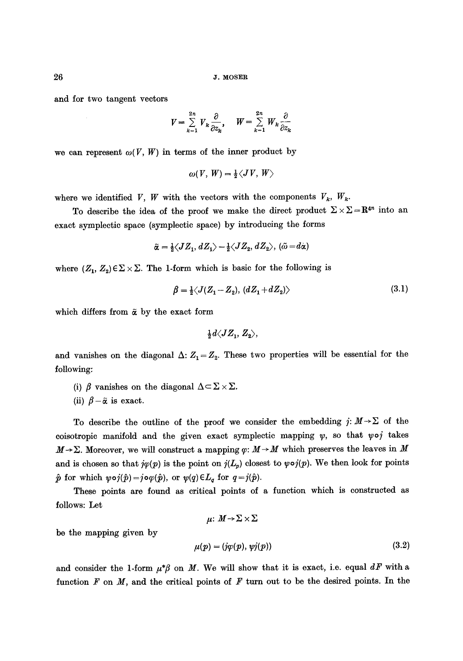and for two tangent vectors

$$
V = \sum_{k=1}^{2n} V_k \frac{\partial}{\partial z_k}, \quad W = \sum_{k=1}^{2n} W_k \frac{\partial}{\partial z_k}
$$

we can represent  $\omega(V, W)$  in terms of the inner product by

$$
\omega(V, W) = \frac{1}{2} \langle JV, W \rangle
$$

where we identified *V*, *W* with the vectors with the components  $V_k$ ,  $W_k$ .

To describe the idea of the proof we make the direct product  $\Sigma \times \Sigma = \mathbb{R}^{4n}$  into an exact symplectie space (sympleetie space) by introducing the forms

$$
\tilde{\alpha} = \frac{1}{2} \langle JZ_1, dZ_1 \rangle - \frac{1}{2} \langle JZ_2, dZ_2 \rangle, \, (\tilde{\omega} = d\alpha)
$$

where  $(Z_1, Z_2) \in \Sigma \times \Sigma$ . The 1-form which is basic for the following is

$$
\beta = \frac{1}{2} \langle J(Z_1 - Z_2), (dZ_1 + dZ_2) \rangle \tag{3.1}
$$

which differs from  $\tilde{\alpha}$  by the exact form

$$
\tfrac{1}{2}d\langle JZ_1,\,Z_2\rangle,
$$

and vanishes on the diagonal  $\Delta: Z_1 = Z_2$ . These two properties will be essential for the following:

- (i)  $\beta$  vanishes on the diagonal  $\Delta \subset \Sigma \times \Sigma$ .
- (ii)  $\beta-\tilde{\alpha}$  is exact.

To describe the outline of the proof we consider the embedding  $j: M \rightarrow \Sigma$  of the coisotropic manifold and the given exact symplectic mapping  $\psi$ , so that  $\psi \circ j$  takes  $M\rightarrow\Sigma$ . Moreover, we will construct a mapping  $\varphi: M\rightarrow M$  which preserves the leaves in M and is chosen so that  $j\varphi(p)$  is the point on  $j(L_p)$  closest to  $\varphi\circ j(p)$ . We then look for points  $\hat{p}$  for which  $\psi \circ j(\hat{p})=j\circ\varphi(\hat{p}),$  or  $\psi(q)\in L_q$  for  $q=j(\hat{p}).$ 

These points are found as critical points of a function which is constructed as follows: Let

 $\mu: M \rightarrow \Sigma \times \Sigma$ 

be the mapping given by

$$
\mu(p) = (j\varphi(p), \psi j(p)) \tag{3.2}
$$

and consider the 1-form  $\mu^*\beta$  on M. We will show that it is exact, i.e. equal  $dF$  with a function  $F$  on  $M$ , and the critical points of  $F$  turn out to be the desired points. In the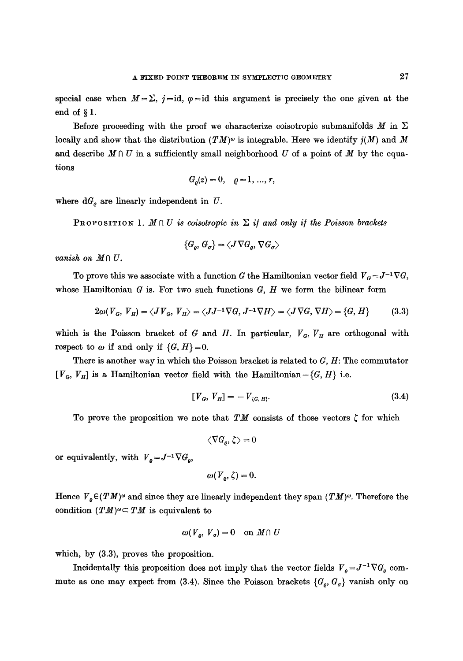special case when  $M = \Sigma$ , j=id,  $\varphi = id$  this argument is precisely the one given at the end of  $\S$  1.

Before proceeding with the proof we characterize coisotropic submanifolds M in  $\Sigma$ locally and show that the distribution  $(TM)^\omega$  is integrable. Here we identify  $j(M)$  and M and describe  $M \cap U$  in a sufficiently small neighborhood U of a point of M by the equations

$$
G_o(z) = 0, \quad \rho = 1, \dots, r,
$$

where  $dG_{\varrho}$  are linearly independent in  $U$ .

PROPOSITION 1.  $M \cap U$  is coisotropic in  $\Sigma$  if and only if the Poisson brackets

$$
\{G_o, G_\sigma\} = \langle J \nabla G_o, \nabla G_\sigma \rangle
$$

*vanish on*  $M \cap U$ .

To prove this we associate with a function G the Hamiltonian vector field  $V_g = J^{-1} \nabla G$ , whose Hamiltonian  $G$  is. For two such functions  $G, H$  we form the bilinear form

$$
2\omega(V_G, V_H) = \langle J V_G, V_H \rangle = \langle J J^{-1} \nabla G, J^{-1} \nabla H \rangle = \langle J \nabla G, \nabla H \rangle = \{G, H\}
$$
(3.3)

which is the Poisson bracket of  $G$  and  $H$ . In particular,  $V_G$ ,  $V_H$  are orthogonal with respect to  $\omega$  if and only if  $\{G, H\} = 0$ .

There is another way in which the Poisson bracket is related to  $G, H$ : The commutator  $[V<sub>G</sub>, V<sub>H</sub>]$  is a Hamiltonian vector field with the Hamiltonian -  $\{G, H\}$  i.e.

$$
[V_G, V_H] = -V_{\{G, H\}}.\t\t(3.4)
$$

To prove the proposition we note that TM consists of those vectors  $\zeta$  for which

$$
\left\langle \nabla G_{\rho},\zeta\right\rangle =0
$$

or equivalently, with  $V_o = J^{-1} \nabla G_o$ ,

$$
\omega(V_{\rho},\zeta)=0.
$$

Hence  $V_{\rho} \in (TM)^{\omega}$  and since they are linearly independent they span  $(TM)^{\omega}$ . Therefore the condition  $(TM)^\omega \subset TM$  is equivalent to

$$
\omega(V_o, V_o) = 0 \quad \text{on } M \cap U
$$

which, by  $(3.3)$ , proves the proposition.

Incidentally this proposition does not imply that the vector fields  $V_{\rho} = J^{-1} \nabla G_{\rho}$  commute as one may expect from (3.4). Since the Poisson brackets  $\{G_o, G_o\}$  vanish only on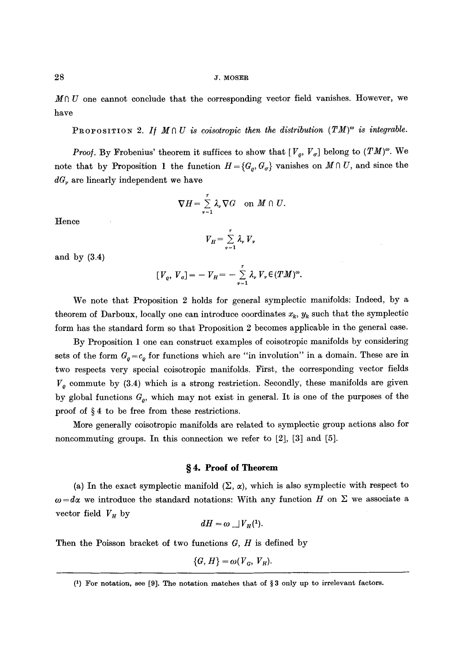$M \cap U$  one cannot conclude that the corresponding vector field vanishes. However, we have

PROPOSITION 2. If  $M \cap U$  is coisotropic then the distribution  $(TM)^{\omega}$  is integrable.

*Proof.* By Frobenius' theorem it suffices to show that  $[V_o, V_{\sigma}]$  belong to  $(TM)^{\omega}$ . We note that by Proposition 1 the function  $H = \{G_{\rho}, G_{\sigma}\}\$  vanishes on  $M \cap U$ , and since the *dG,* are linearly independent we have

$$
\nabla H = \sum_{\nu=1}^r \lambda_{\nu} \nabla G \quad \text{on } M \cap U.
$$

Hence

$$
V_H = \sum_{\nu=1}^r \lambda_\nu V_\nu
$$

and by (3.4)

$$
[V_e, V_\sigma] = -V_H = -\sum_{\nu=1}^r \lambda_\nu V_\nu \in (TM)^\omega.
$$

We note that Proposition 2 holds for general symplectic manifolds: Indeed, by a theorem of Darboux, locally one can introduce coordinates  $x_k$ ,  $y_k$  such that the symplectic form has the standard form so that Proposition 2 becomes applicable in the general case.

By Proposition 1 one can construct examples of coisotropic manifolds by considering sets of the form  $G_{\rho}=c_{\rho}$  for functions which are "in involution" in a domain. These are in two respects very special coisotropie manifolds. First, the corresponding vector fields  $V<sub>o</sub>$  commute by (3.4) which is a strong restriction. Secondly, these manifolds are given by global functions  $G_{\rho}$ , which may not exist in general. It is one of the purposes of the proof of  $\S 4$  to be free from these restrictions.

More generally coisotropic manifolds are related to symplectic group actions also for noncommuting groups. In this connection we refer to [2], [3] and [5].

# §4. Proof of Theorem

(a) In the exact symplectic manifold  $(\Sigma, \alpha)$ , which is also symplectic with respect to  $\omega = d\alpha$  we introduce the standard notations: With any function H on  $\Sigma$  we associate a vector field  $V_H$  by

$$
dH = \omega \iint_H (1).
$$

Then the Poisson bracket of two functions  $G, H$  is defined by

$$
\{G, H\} = \omega(V_G, V_H).
$$

<sup>(1)</sup> For notation, see [9]. The notation matches that of  $\S 3$  only up to irrelevant factors.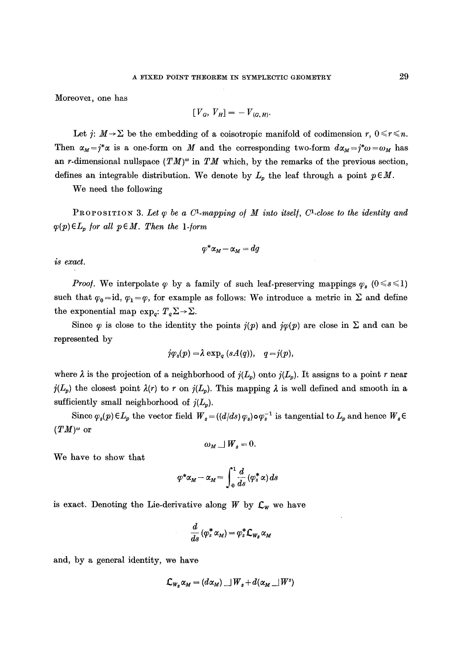Moreover, one has

$$
[V_{G}, V_{H}] = -V_{(G,H)}.
$$

Let  $j: M \to \Sigma$  be the embedding of a coisotropic manifold of codimension r,  $0 \le r \le n$ . Then  $\alpha_M = j^*\alpha$  is a one-form on M and the corresponding two-form  $d\alpha_M = j^*\omega = \omega_M$  has an r-dimensional nullspace  $(TM)^\omega$  in TM which, by the remarks of the previous section, defines an integrable distribution. We denote by  $L_p$  the leaf through a point  $p \in M$ .

We need the following

PROPOSITION 3. Let  $\varphi$  be a C<sup>1</sup>-mapping of M into itself, C<sup>1</sup>-close to the identity and  $\varphi(p) \in L_p$  for all  $p \in M$ . Then the 1-form

$$
\varphi^*\alpha_M\!-\!\alpha_M\!=\!dg
$$

*is exact.* 

*Proof.* We interpolate  $\varphi$  by a family of such leaf-preserving mappings  $\varphi_s$  (0  $\leq s \leq 1$ ) such that  $\varphi_0 = id$ ,  $\varphi_1 = \varphi$ , for example as follows: We introduce a metric in  $\Sigma$  and define the exponential map  $\exp_{q}: T_{q}\Sigma \rightarrow \Sigma$ .

Since  $\varphi$  is close to the identity the points  $j(p)$  and  $j\varphi(p)$  are close in  $\Sigma$  and can be represented by

$$
j\varphi_s(p) = \lambda \exp_q (sA(q)), \quad q = j(p),
$$

where  $\lambda$  is the projection of a neighborhood of  $j(L_p)$  onto  $j(L_p)$ . It assigns to a point r near  $j(L_p)$  the closest point  $\lambda(r)$  to r on  $j(L_p)$ . This mapping  $\lambda$  is well defined and smooth in a sufficiently small neighborhood of  $j(L_p)$ .

Since  $\varphi_s(p) \in L_p$  the vector field  $W_s = ((d/ds)\varphi_s) \circ \varphi_s^{-1}$  is tangential to  $L_p$  and hence  $W_s \in$  $(TM)^\omega$  or

$$
\omega_M \cup W_s = 0.
$$

We have to show that

$$
\varphi^* \alpha_M - \alpha_M = \int_0^1 \frac{d}{ds} (\varphi^*_s \alpha) ds
$$

is exact. Denoting the Lie-derivative along  $W$  by  $C_w$  we have

$$
\frac{d}{ds}(\varphi_s^*\,\alpha_M)=\varphi_s^*\mathcal{L}_{W_s}\,\alpha_M
$$

and, by a general identity, we have

$$
\mathcal{L}_{W_s} \alpha_M = (d \alpha_M) \cup W_s + d(\alpha_M \cup W^s)
$$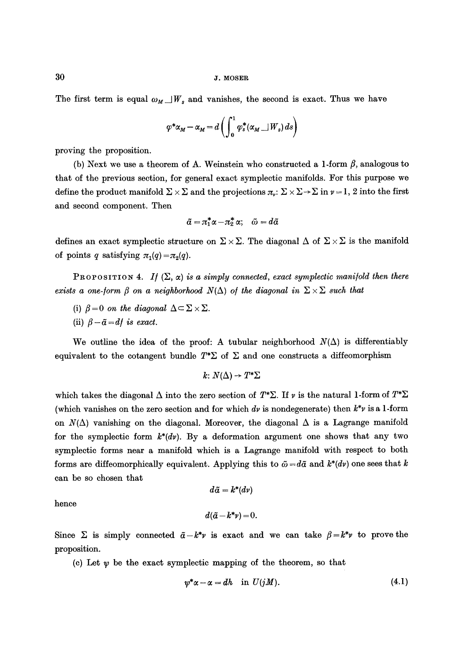The first term is equal  $\omega_M \perp W_s$  and vanishes, the second is exact. Thus we have

$$
\varphi^* \alpha_M - \alpha_M = d \left( \int_0^1 \varphi_s^* (\alpha_M \sqcup W_s) \, ds \right)
$$

proving the proposition.

(b) Next we use a theorem of A. Weinstein who constructed a 1-form  $\beta$ , analogous to that of the previous section, for general exact sympleetic manifolds. For this purpose we define the product manifold  $\Sigma \times \Sigma$  and the projections  $\pi_v: \Sigma \times \Sigma \to \Sigma$  in  $v = 1, 2$  into the first and second component. Then

$$
\tilde{a} = \pi_1^* \alpha - \pi_2^* \alpha; \quad \tilde{\omega} = d\tilde{\alpha}
$$

defines an exact symplectic structure on  $\Sigma \times \Sigma$ . The diagonal  $\Delta$  of  $\Sigma \times \Sigma$  is the manifold of points q satisfying  $\pi_1(q)=\pi_2(q)$ .

PROPOSITION 4. *If*  $(\Sigma, \alpha)$  *is a simply connected, exact symplectic manifold then there exists a one-form*  $\beta$  *on a neighborhood*  $N(\Delta)$  *of the diagonal in*  $\Sigma \times \Sigma$  *such that* 

- (i)  $\beta = 0$  on the diagonal  $\Delta \subset \Sigma \times \Sigma$ .
- (ii)  $\beta \tilde{a} = df$  is exact.

We outline the idea of the proof: A tubular neighborhood  $N(\Delta)$  is differentiably equivalent to the cotangent bundle  $T^*\Sigma$  of  $\Sigma$  and one constructs a diffeomorphism

 $k: N(\Delta) \rightarrow T^*\Sigma$ 

which takes the diagonal  $\Delta$  into the zero section of  $T^*\Sigma$ . If v is the natural 1-form of  $T^*\Sigma$ (which vanishes on the zero section and for which dv is nondegenerate) then  $k^*\nu$  is a 1-form on  $N(\Delta)$  vanishing on the diagonal. Moreover, the diagonal  $\Delta$  is a Lagrange manifold for the symplectic form  $k^*(dv)$ . By a deformation argument one shows that any two symplectic forms near a manifold which is a Lagrange manifold with respect to both forms are diffeomorphically equivalent. Applying this to  $\tilde{\omega} = d\tilde{\alpha}$  and  $k^*(dv)$  one sees that k can be so chosen that

$$
d\tilde{a}=k^*(dv)
$$

hence

$$
d(\tilde{a}-k^*\nu)=0.
$$

Since  $\Sigma$  is simply connected  $\tilde{a}-k^*\nu$  is exact and we can take  $\beta=k^*\nu$  to prove the proposition.

(c) Let  $\psi$  be the exact symplectic mapping of the theorem, so that

$$
\psi^* \alpha - \alpha = dh \quad \text{in } U(jM).
$$
 (4.1)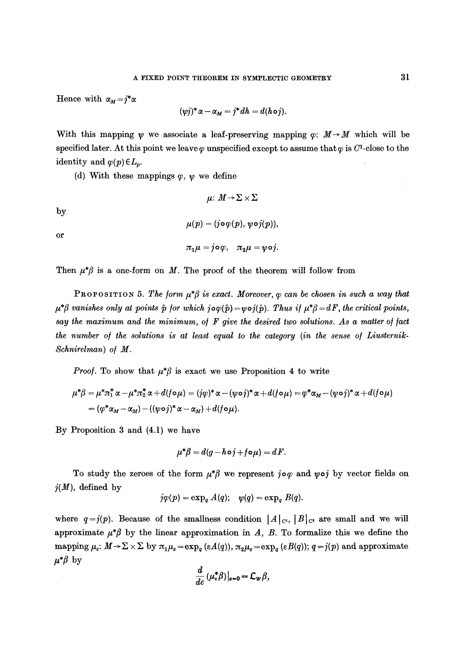Hence with  $\alpha_M = j^* \alpha$ 

$$
(\psi j)^* \alpha - \alpha_M = j^* dh = d(h \circ j).
$$

With this mapping  $\psi$  we associate a leaf-preserving mapping  $\varphi$ :  $M \rightarrow M$  which will be specified later. At this point we leave  $\varphi$  unspecified except to assume that  $\varphi$  is  $C^1$ -close to the identity and  $\varphi(p) \in L_p$ .

(d) With these mappings  $\varphi$ ,  $\psi$  we define

$$
\mu\colon M\!\to\!\Sigma\times\Sigma
$$

by

 $\mu(p) = (j \circ \varphi(p), \psi \circ j(p)),$ 

or

$$
\pi_1\mu = j \circ \varphi, \quad \pi_2\mu = \psi \circ j.
$$

Then  $\mu^*\beta$  is a one-form on M. The proof of the theorem will follow from

PROPOSITION 5. The form  $\mu^*\beta$  is exact. Moreover,  $\varphi$  can be chosen in such a way that  $\mu^* \beta$  vanishes only at points  $\hat{p}$  for which  $j \circ \varphi(\hat{p}) = \psi \circ j(\hat{p})$ . *Thus if*  $\mu^* \beta = dF$ , the critical points, say the maximum and the minimum, of F give the desired two solutions. As a matter of fact the number of the solutions is at least equal to the category (in the sense of Liusternik-*Schnirelman) o/M.* 

*Proof.* To show that  $\mu^*\beta$  is exact we use Proposition 4 to write

$$
\mu^*\beta = \mu^*\pi_1^*\alpha - \mu^*\pi_2^*\alpha + d(f\circ\mu) = (j\varphi)^*\alpha - (\psi\circ j)^*\alpha + d(f\circ\mu) = \varphi^*\alpha_M - (\psi\circ j)^*\alpha + d(f\circ\mu)
$$
  
=  $(\varphi^*\alpha_M - \alpha_M) - ((\psi\circ j)^*\alpha - \alpha_M) + d(f\circ\mu).$ 

By Proposition 3 and (4.1) we have

$$
\mu^*\beta = d(g - h \circ j + f \circ \mu) = dF.
$$

To study the zeroes of the form  $\mu^*\beta$  we represent jo $\varphi$  and  $\psi \circ j$  by vector fields on  $j(M)$ , defined by

$$
j\varphi(p) = \exp_q A(q); \quad \psi(q) = \exp_q B(q).
$$

where  $q=j(p)$ . Because of the smallness condition  $|A|_{c_i}$ ,  $|B|_{c_i}$  are small and we will approximate  $\mu^*\beta$  by the linear approximation in A, B. To formalize this we define the mapping  $\mu_{\varepsilon}$ :  $M \to \Sigma \times \Sigma$  by  $\pi_1 \mu_{\varepsilon} = \exp_q (\varepsilon A(q))$ ,  $\pi_2 \mu_{\varepsilon} = \exp_q (\varepsilon B(q))$ ;  $q = j(p)$  and approximate  $\mu^*\beta$  by

$$
\frac{d}{d\varepsilon}\left(\mu_{\varepsilon}^*\beta\right)|_{\varepsilon=0}=\mathcal{L}_w\beta,
$$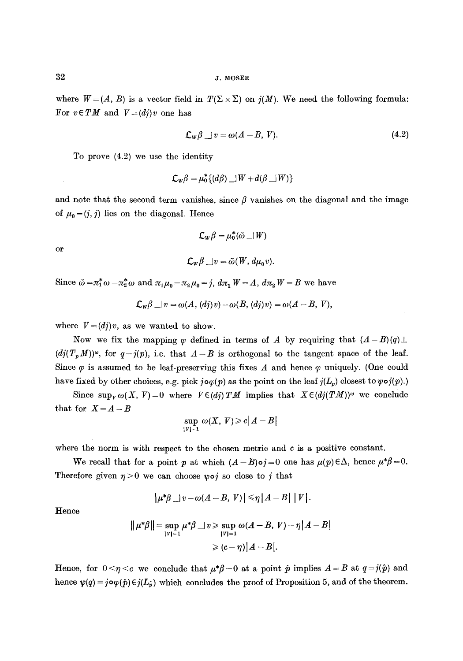where  $W = (A, B)$  is a vector field in  $T(\Sigma \times \Sigma)$  on  $j(M)$ . We need the following formula: For  $v \in TM$  and  $V=(dj)v$  one has

$$
\mathcal{L}_w \beta \perp v = \omega(A - B, V). \tag{4.2}
$$

To prove (4.2) we use the identity

$$
\mathcal{L}_W\beta=\mu_0^*\{(d\beta)\_\exists W+d(\beta\_\exists W)\}
$$

and note that the second term vanishes, since  $\beta$  vanishes on the diagonal and the image of  $\mu_0 = (j, j)$  lies on the diagonal. Hence

$$
\mathcal{L}_W\beta=\mu_0^*(\tilde{\omega}\_\|W)
$$

or

$$
\mathcal{L}_W\beta \Box v = \tilde{\omega}(W, d\mu_0 v).
$$

Since  $\tilde{\omega} = \pi_1^* \omega - \pi_2^* \omega$  and  $\pi_1 \mu_0 = \pi_2 \mu_0 = j$ ,  $d\pi_1 W = A$ ,  $d\pi_2 W = B$  we have

$$
\mathcal{L}_w\beta \sqcup v = \omega(A, (dj)v) - \omega(B, (dj)v) = \omega(A - B, V),
$$

where  $V=(dj)v$ , as we wanted to show.

Now we fix the mapping  $\varphi$  defined in terms of A by requiring that  $(A - B)(q) \perp$  $(dj(T_pM))^{\omega}$ , for  $q=j(p)$ , i.e. that  $A-B$  is orthogonal to the tangent space of the leaf. Since  $\varphi$  is assumed to be leaf-preserving this fixes A and hence  $\varphi$  uniquely. (One could have fixed by other choices, e.g. pick  $j\circ\varphi(p)$  as the point on the leaf  $j(L_p)$  closest to  $\psi\circ j(p)$ .)

Since  $\sup_{V} \omega(X, V) = 0$  where  $V \in (dj) TM$  implies that  $X \in (dj(TM))^{\omega}$  we conclude that for  $X = A - B$ 

$$
\sup_{\{V\}=1} \omega(X, V) \geqslant c|A-B|
$$

where the norm is with respect to the chosen metric and  $c$  is a positive constant.

We recall that for a point p at which  $(A-B)$ oj=0 one has  $\mu(p) \in \Delta$ , hence  $\mu^*\beta=0$ . Therefore given  $\eta > 0$  we can choose  $\psi \circ j$  so close to j that

$$
|\mu^*\beta\_\_v - \omega(A-B, V)| \leq \eta |A-B| |V|.
$$

Hence

$$
\|\mu^*\beta\| = \sup_{|V|=1} \mu^*\beta \quad \text{for some } \omega(A-B, V) - \eta |A-B|
$$

$$
\geq (c-\eta) |A-B|.
$$

Hence, for  $0 \le \eta \le c$  we conclude that  $\mu^* \beta = 0$  at a point  $\hat{p}$  implies  $A = B$  at  $q = j(\hat{p})$  and hence  $\psi(q) = j \circ \varphi(\hat{p}) \in j(L_{\hat{p}})$  which concludes the proof of Proposition 5, and of the theorem.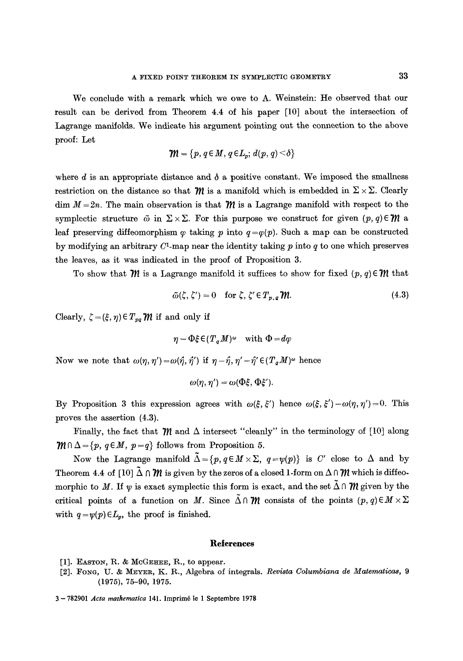We conclude with a remark which we owe to A. Weinstein: He observed that our result can be derived from Theorem 4.4 of his paper [10] about the intersection of Lagrange manifolds. We indicate his argument pointing out the connection to the above proof: Let

$$
\mathcal{W} = \{p, q \in M, q \in L_p; d(p, q) \leq \delta\}
$$

where  $d$  is an appropriate distance and  $\delta$  a positive constant. We imposed the smallness restriction on the distance so that  $\mathcal{W}$  is a manifold which is embedded in  $\Sigma \times \Sigma$ . Clearly dim  $M = 2n$ . The main observation is that  **is a Lagrange manifold with respect to the** symplectic structure  $\tilde{\omega}$  in  $\Sigma \times \Sigma$ . For this purpose we construct for given  $(p, q) \in \mathcal{W}$  a leaf preserving diffeomorphism  $\varphi$  taking p into  $q = \varphi(p)$ . Such a map can be constructed by modifying an arbitrary  $C^1$ -map near the identity taking p into q to one which preserves the leaves, as it was indicated in the proof of Proposition 3.

To show that  $\mathcal{M}$  is a Lagrange manifold it suffices to show for fixed  $(p, q) \in \mathcal{W}$  that

$$
\tilde{\omega}(\zeta, \zeta') = 0 \quad \text{for } \zeta, \zeta' \in T_{p,q} \mathcal{W}. \tag{4.3}
$$

Clearly,  $\zeta = (\xi, \eta) \in T_{pq} \mathcal{W}$  if and only if

$$
\eta - \Phi \xi \in (T_a M)^{\omega}
$$
 with  $\Phi = d\varphi$ 

Now we note that  $\omega(\eta, \eta') = \omega(\hat{\eta}, \hat{\eta}')$  if  $\eta - \hat{\eta}, \eta' - \hat{\eta}' \in (T_a M)^{\omega}$  hence

$$
\omega(\eta, \eta') = \omega(\Phi\xi, \Phi\xi')
$$

By Proposition 3 this expression agrees with  $\omega(\xi, \xi')$  hence  $\omega(\xi, \xi') - \omega(\eta, \eta') = 0$ . This proves the assertion (4.3).

Finally, the fact that  $\mathcal{W}$  and  $\Delta$  intersect "cleanly" in the terminology of [10] along  $\mathcal{H} \cap \Delta = \{p, q \in M, p = q\}$  follows from Proposition 5.

Now the Lagrange manifold  $\tilde{\Delta}=\{p, q\in M\times\Sigma, q=\psi(p)\}\$ is C' close to  $\Delta$  and by Theorem 4.4 of  $[10]$   $\tilde{\Delta} \cap \mathcal{W}$  is given by the zeros of a closed 1-form on  $\Delta \cap \mathcal{W}$  which is diffeomorphic to M. If  $\psi$  is exact symplectic this form is exact, and the set  $\Delta \cap m$  given by the critical points of a function on M. Since  $\tilde{\Delta} \cap \mathcal{W}$  consists of the points  $(p, q) \in M \times \Sigma$ with  $q = \psi(p) \in L_p$ , the proof is finished.

#### **Reterences**

- [1]. EASTON, R. & McGEHEE, R., to appear.
- [2]. Fong, U. & MEYER, K. R., Algebra of integrals. *Revista Columbiana de Matematicas*, 9 (1975), 75-90, 1975.

<sup>3- 782901</sup> *Acta mathematica* 141. Imprim6 le 1 Septembrc 1978